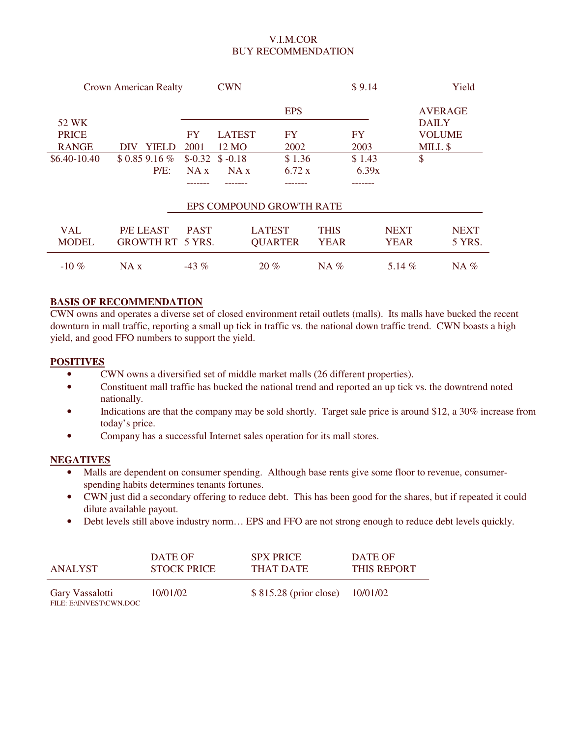### V.I.M.COR BUY RECOMMENDATION

| <b>Crown American Realty</b> |                         | <b>CWN</b>  |               |                          | \$9.14      |           |             | Yield          |             |
|------------------------------|-------------------------|-------------|---------------|--------------------------|-------------|-----------|-------------|----------------|-------------|
|                              |                         |             |               | <b>EPS</b>               |             |           |             | <b>AVERAGE</b> |             |
| 52 WK                        |                         |             |               |                          |             |           |             | <b>DAILY</b>   |             |
| <b>PRICE</b>                 |                         | FY          | <b>LATEST</b> | <b>FY</b>                |             | <b>FY</b> |             | <b>VOLUME</b>  |             |
| <b>RANGE</b>                 | <b>YIELD</b><br>DIV     | 2001        | 12 MO         | 2002                     |             | 2003      |             | MILL \$        |             |
| \$6.40-10.40                 | $$0.859.16\%$           | $$-0.32$    | $$ -0.18$     | \$1.36                   |             | \$1.43    |             | \$             |             |
|                              | $P/E$ :                 | NA x        | NA x          | 6.72 x                   |             | 6.39x     |             |                |             |
|                              |                         |             |               |                          |             |           |             |                |             |
|                              |                         |             |               | EPS COMPOUND GROWTH RATE |             |           |             |                |             |
| <b>VAL</b>                   | <b>P/E LEAST</b>        | <b>PAST</b> |               | <b>LATEST</b>            | <b>THIS</b> |           | <b>NEXT</b> |                | <b>NEXT</b> |
| <b>MODEL</b>                 | <b>GROWTH RT 5 YRS.</b> |             |               | <b>QUARTER</b>           | <b>YEAR</b> |           | <b>YEAR</b> |                | 5 YRS.      |
| $-10\%$                      | NA x                    | $-43\%$     |               | 20%                      | $NA\%$      |           | 5.14 $%$    |                | $NA\%$      |

### **BASIS OF RECOMMENDATION**

CWN owns and operates a diverse set of closed environment retail outlets (malls). Its malls have bucked the recent downturn in mall traffic, reporting a small up tick in traffic vs. the national down traffic trend. CWN boasts a high yield, and good FFO numbers to support the yield.

### **POSITIVES**

- CWN owns a diversified set of middle market malls (26 different properties).
- Constituent mall traffic has bucked the national trend and reported an up tick vs. the downtrend noted nationally.
- Indications are that the company may be sold shortly. Target sale price is around \$12, a 30% increase from today's price.
- Company has a successful Internet sales operation for its mall stores.

### **NEGATIVES**

- Malls are dependent on consumer spending. Although base rents give some floor to revenue, consumerspending habits determines tenants fortunes.
- CWN just did a secondary offering to reduce debt. This has been good for the shares, but if repeated it could dilute available payout.
- Debt levels still above industry norm... EPS and FFO are not strong enough to reduce debt levels quickly.

| ANALYST                                    | DATE OF            | <b>SPX PRICE</b>                | DATE OF            |
|--------------------------------------------|--------------------|---------------------------------|--------------------|
|                                            | <b>STOCK PRICE</b> | THAT DATE                       | <b>THIS REPORT</b> |
| Gary Vassalotti<br>FILE: E:\INVEST\CWN.DOC | 10/01/02           | \$815.28 (prior close) 10/01/02 |                    |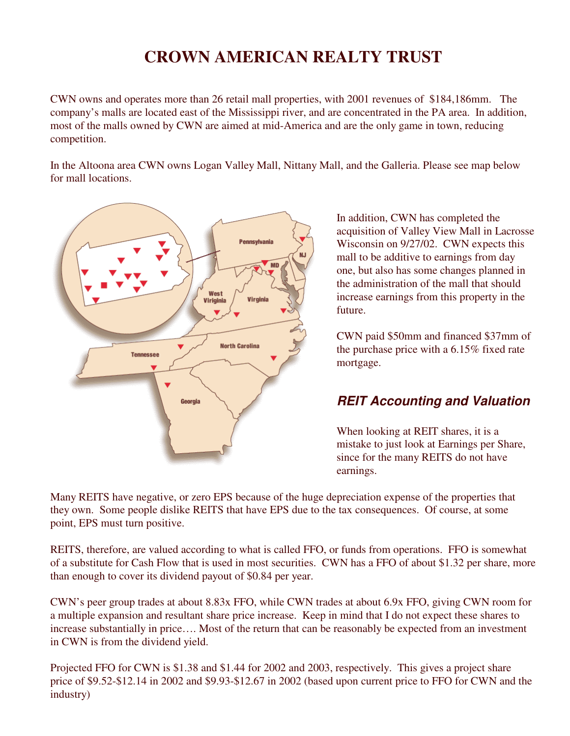# **CROWN AMERICAN REALTY TRUST**

CWN owns and operates more than 26 retail mall properties, with 2001 revenues of \$184,186mm. The company's malls are located east of the Mississippi river, and are concentrated in the PA area. In addition, most of the malls owned by CWN are aimed at mid-America and are the only game in town, reducing competition.

In the Altoona area CWN owns Logan Valley Mall, Nittany Mall, and the Galleria. Please see map below for mall locations.



In addition, CWN has completed the acquisition of Valley View Mall in Lacrosse Wisconsin on 9/27/02. CWN expects this mall to be additive to earnings from day one, but also has some changes planned in the administration of the mall that should increase earnings from this property in the future.

CWN paid \$50mm and financed \$37mm of the purchase price with a 6.15% fixed rate mortgage.

## *REIT Accounting and Valuation*

When looking at REIT shares, it is a mistake to just look at Earnings per Share, since for the many REITS do not have earnings.

Many REITS have negative, or zero EPS because of the huge depreciation expense of the properties that they own. Some people dislike REITS that have EPS due to the tax consequences. Of course, at some point, EPS must turn positive.

REITS, therefore, are valued according to what is called FFO, or funds from operations. FFO is somewhat of a substitute for Cash Flow that is used in most securities. CWN has a FFO of about \$1.32 per share, more than enough to cover its dividend payout of \$0.84 per year.

CWN's peer group trades at about 8.83x FFO, while CWN trades at about 6.9x FFO, giving CWN room for a multiple expansion and resultant share price increase. Keep in mind that I do not expect these shares to increase substantially in price…. Most of the return that can be reasonably be expected from an investment in CWN is from the dividend yield.

Projected FFO for CWN is \$1.38 and \$1.44 for 2002 and 2003, respectively. This gives a project share price of \$9.52-\$12.14 in 2002 and \$9.93-\$12.67 in 2002 (based upon current price to FFO for CWN and the industry)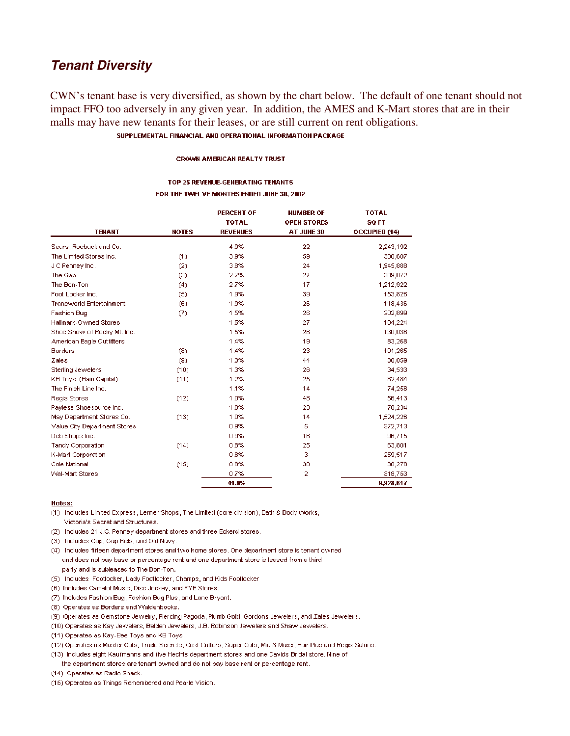## **Tenant Diversity**

CWN's tenant base is very diversified, as shown by the chart below. The default of one tenant should not impact FFO too adversely in any given year. In addition, the AMES and K-Mart stores that are in their malls may have new tenants for their leases, or are still current on rent obligations.

### SUPPLEMENTAL FINANCIAL AND OPERATIONAL INFORMATION PACKAGE

#### **CROWN AMERICAN REALTY TRUST**

#### TOP 25 REVENUE-GENERATING TENANTS FOR THE TWELVE MONTHS ENDED JUNE 30, 2002

| <b>TENANT</b>                   | <b>NOTES</b> | <b>PERCENT OF</b><br><b>TOTAL</b><br><b>REVENUES</b> | <b>NUMBER OF</b><br><b>OPEN STORES</b><br>AT JUNE 30 | <b>TOTAL</b><br><b>SQ FT</b><br><b>OCCUPIED (14)</b> |
|---------------------------------|--------------|------------------------------------------------------|------------------------------------------------------|------------------------------------------------------|
| Sears, Roebuck and Co.          |              | 4.9%                                                 | 22                                                   | 2,243,192                                            |
| The Limited Stores Inc.         | (1)          | 3.9%                                                 | 59                                                   | 300,607                                              |
| J C Penney Inc.                 | (2)          | 3.8%                                                 | 24                                                   | 1,945,888                                            |
| The Gap                         | (3)          | 2.7%                                                 | 27                                                   | 309,072                                              |
| The Bon-Ton                     | (4)          | 2.7%                                                 | 17                                                   | 1,212,922                                            |
| Foot Locker Inc.                | (5)          | 1.9%                                                 | 39                                                   | 153,826                                              |
| <b>Transworld Entertainment</b> | (6)          | 1.9%                                                 | 26                                                   | 118,436                                              |
| <b>Fashion Bug</b>              | (7)          | 1.5%                                                 | 26                                                   | 202,899                                              |
| Hallmark-Owned Stores           |              | 1.5%                                                 | 27                                                   | 104,224                                              |
| Shoe Show of Rocky Mt. Inc.     |              | 1.5%                                                 | 26                                                   | 130,036                                              |
| American Eagle Outfitters       |              | 1.4%                                                 | 19                                                   | 83,268                                               |
| <b>Borders</b>                  | (8)          | 1.4%                                                 | 23                                                   | 101,265                                              |
| Zales                           | (9)          | 1.3%                                                 | 44                                                   | 30,059                                               |
| Sterling Jewelers               | (10)         | 1.3%                                                 | 26                                                   | 34,533                                               |
| KB Toys (Bain Capital)          | (11)         | 1.2%                                                 | 25                                                   | 82,484                                               |
| The Finish Line Inc.            |              | 1.1%                                                 | 14                                                   | 74,256                                               |
| Regis Stores                    | (12)         | 1.0%                                                 | 48                                                   | 56,413                                               |
| Payless Shoesource Inc.         |              | 1.0%                                                 | 23                                                   | 78,234                                               |
| May Department Stores Co.       | (13)         | 1.0%                                                 | 14                                                   | 1,524,226                                            |
| Value City Department Stores    |              | 0.9%                                                 | 5                                                    | 372,713                                              |
| Deb Shops Inc.                  |              | 0.9%                                                 | 16                                                   | 96,715                                               |
| Tandy Corporation               | (14)         | 0.8%                                                 | 25                                                   | 63,801                                               |
| K-Mart Corporation              |              | 0.8%                                                 | з                                                    | 259,517                                              |
| Cole National                   | (15)         | 0.8%                                                 | 30                                                   | 30,278                                               |
| <b>Wal-Mart Stores</b>          |              | 0.7%                                                 | 2                                                    | 319,753                                              |
|                                 |              | 41.9%                                                |                                                      | 9,928,617                                            |

#### Notes:

- (1) Includes Limited Express, Lerner Shops, The Limited (core division), Bath & Body Works, Victoria's Secret and Structures.
- (2) Includes 21 J.C. Penney department stores and three Eckerd stores.
- (3) Includes Gap, Gap Kids, and Old Navy.
- (4) Includes fifteen department stores and two home stores. One department store is tenant owned and does not pay base or percentage rent and one department store is leased from a third party and is subleased to The Bon-Ton.
- (5) Includes Footlocker, Lady Footlocker, Champs, and Kids Footlocker
- (6) Includes Camelot Music, Disc Jockey, and FYE Stores.
- (7) Includes Fashion Bug, Fashion Bug Plus, and Lane Bryant.
- (8) Operates as Borders and Waldenbooks.
- (9) Operates as Gemstone Jewelry, Piercing Pagoda, Plumb Gold, Gordons Jewelers, and Zales Jewelers.
- (10) Operates as Kay Jewelers, Belden Jewelers, J.B. Robinson Jewelers and Shaw Jewelers.
- (11) Operates as Kay-Bee Toys and KB Toys.
- (12) Operates as Master Cuts, Trade Secrets, Cost Cutters, Super Cuts, Mia & Maxx, Hair Plus and Regis Salons.
- (13) Includes eight Kaufmanns and five Hechts department stores and one Davids Bridal store. Nine of

- (14) Operates as Radio Shack.
- (15) Operates as Things Remembered and Pearle Vision.

the department stores are tenant owned and do not pay base rent or percentage rent.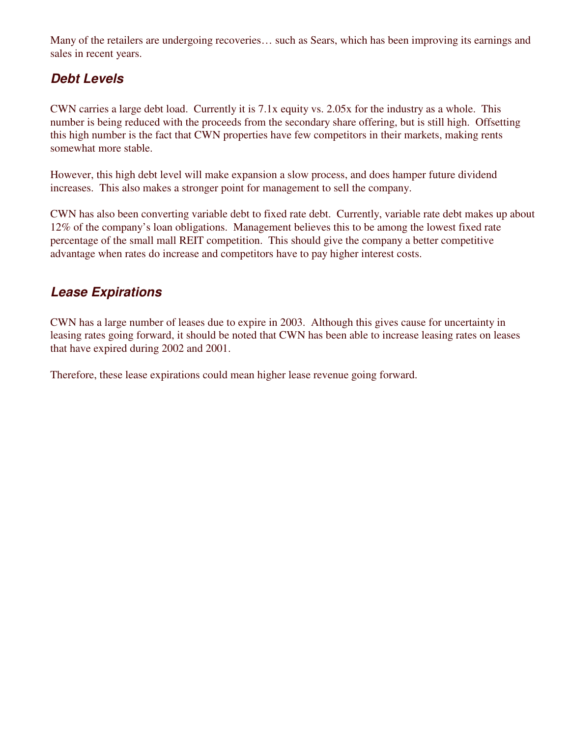Many of the retailers are undergoing recoveries… such as Sears, which has been improving its earnings and sales in recent years.

## *Debt Levels*

CWN carries a large debt load. Currently it is 7.1x equity vs. 2.05x for the industry as a whole. This number is being reduced with the proceeds from the secondary share offering, but is still high. Offsetting this high number is the fact that CWN properties have few competitors in their markets, making rents somewhat more stable.

However, this high debt level will make expansion a slow process, and does hamper future dividend increases. This also makes a stronger point for management to sell the company.

CWN has also been converting variable debt to fixed rate debt. Currently, variable rate debt makes up about 12% of the company's loan obligations. Management believes this to be among the lowest fixed rate percentage of the small mall REIT competition. This should give the company a better competitive advantage when rates do increase and competitors have to pay higher interest costs.

## *Lease Expirations*

CWN has a large number of leases due to expire in 2003. Although this gives cause for uncertainty in leasing rates going forward, it should be noted that CWN has been able to increase leasing rates on leases that have expired during 2002 and 2001.

Therefore, these lease expirations could mean higher lease revenue going forward.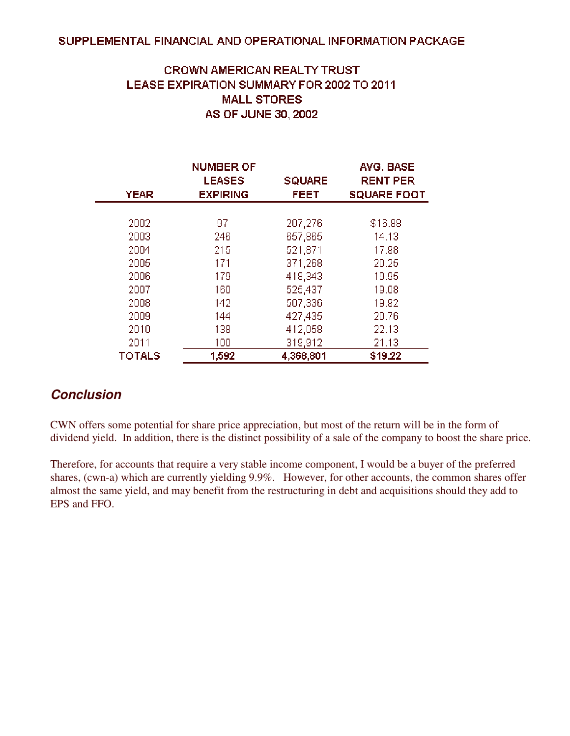### SUPPLEMENTAL FINANCIAL AND OPERATIONAL INFORMATION PACKAGE

## **CROWN AMERICAN REALTY TRUST** LEASE EXPIRATION SUMMARY FOR 2002 TO 2011 **MALL STORES** AS OF JUNE 30, 2002

| <b>YEAR</b>   | <b>NUMBER OF</b><br><b>LEASES</b><br><b>EXPIRING</b> | <b>SQUARE</b><br><b>FEET</b> | AVG. BASE<br><b>RENT PER</b><br><b>SQUARE FOOT</b> |
|---------------|------------------------------------------------------|------------------------------|----------------------------------------------------|
|               |                                                      |                              |                                                    |
| 2002          | 97                                                   | 207,276                      | \$16.88                                            |
| 2003          | 246                                                  | 657,865                      | 14.13                                              |
| 2004          | 215                                                  | 521,871                      | 17.98                                              |
| 2005          | 171                                                  | 371,268                      | 20.25                                              |
| 2006          | 179                                                  | 418,343                      | 19.95                                              |
| 2007          | 160                                                  | 525,437                      | 19.08                                              |
| 2008          | 142                                                  | 507,336                      | 19.92                                              |
| 2009          | 144                                                  | 427,435                      | 20.76                                              |
| 2010          | 138                                                  | 412,058                      | 22.13                                              |
| 2011          | 100                                                  | 319,912                      | 21.13                                              |
| <b>TOTALS</b> | 1,592                                                | 4,368,801                    | \$19.22                                            |

## *Conclusion*

CWN offers some potential for share price appreciation, but most of the return will be in the form of dividend yield. In addition, there is the distinct possibility of a sale of the company to boost the share price.

Therefore, for accounts that require a very stable income component, I would be a buyer of the preferred shares, (cwn-a) which are currently yielding 9.9%. However, for other accounts, the common shares offer almost the same yield, and may benefit from the restructuring in debt and acquisitions should they add to EPS and FFO.